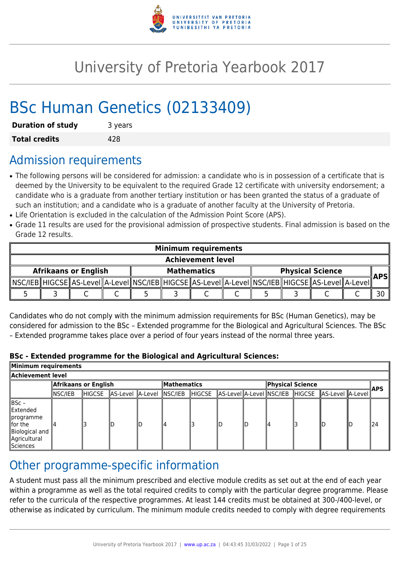

# University of Pretoria Yearbook 2017

# BSc Human Genetics (02133409)

| <b>Duration of study</b> | 3 years |
|--------------------------|---------|
| <b>Total credits</b>     | 428     |

# Admission requirements

- The following persons will be considered for admission: a candidate who is in possession of a certificate that is deemed by the University to be equivalent to the required Grade 12 certificate with university endorsement; a candidate who is a graduate from another tertiary institution or has been granted the status of a graduate of such an institution; and a candidate who is a graduate of another faculty at the University of Pretoria.
- Life Orientation is excluded in the calculation of the Admission Point Score (APS).
- Grade 11 results are used for the provisional admission of prospective students. Final admission is based on the Grade 12 results.

|                             | <b>Minimum requirements</b> |  |  |  |  |                                                                                                      |  |                         |            |
|-----------------------------|-----------------------------|--|--|--|--|------------------------------------------------------------------------------------------------------|--|-------------------------|------------|
|                             | <b>Achievement level</b>    |  |  |  |  |                                                                                                      |  |                         |            |
| <b>Afrikaans or English</b> |                             |  |  |  |  | <b>Mathematics</b>                                                                                   |  | <b>Physical Science</b> | <b>APS</b> |
|                             |                             |  |  |  |  | _MSC/IEB_HIGCSE_AS-LeveI_A-LeveI_NSC/IEB_HIGCSE_AS-LeveI_A-LeveI_NSC/IEB_HIGCSE_AS-LeveI_A-LeveI_MS- |  |                         |            |
|                             |                             |  |  |  |  |                                                                                                      |  |                         |            |

Candidates who do not comply with the minimum admission requirements for BSc (Human Genetics), may be considered for admission to the BSc – Extended programme for the Biological and Agricultural Sciences. The BSc – Extended programme takes place over a period of four years instead of the normal three years.

#### **BSc - Extended programme for the Biological and Agricultural Sciences:**

| Minimum requirements                                                                        |                      |        |                          |    |                    |         |  |                  |  |  |                                                  |  |            |
|---------------------------------------------------------------------------------------------|----------------------|--------|--------------------------|----|--------------------|---------|--|------------------|--|--|--------------------------------------------------|--|------------|
| Achievement level                                                                           |                      |        |                          |    |                    |         |  |                  |  |  |                                                  |  |            |
|                                                                                             | Afrikaans or English |        |                          |    | <b>Mathematics</b> |         |  | Physical Science |  |  |                                                  |  |            |
|                                                                                             | NSC/IEB              | HIGCSE | AS-Level A-Level NSC/IEB |    |                    | ∥HIGCSE |  |                  |  |  | AS-Level A-Level NSC/IEB HIGCSE AS-Level A-Level |  | <b>APS</b> |
| ∥BSc –<br>Extended<br>∥programme<br>llfor the<br>Biological and<br>Agricultural<br>Sciences |                      |        | ID                       | lD | 4                  |         |  |                  |  |  |                                                  |  | 124        |

# Other programme-specific information

A student must pass all the minimum prescribed and elective module credits as set out at the end of each year within a programme as well as the total required credits to comply with the particular degree programme. Please refer to the curricula of the respective programmes. At least 144 credits must be obtained at 300-/400-level, or otherwise as indicated by curriculum. The minimum module credits needed to comply with degree requirements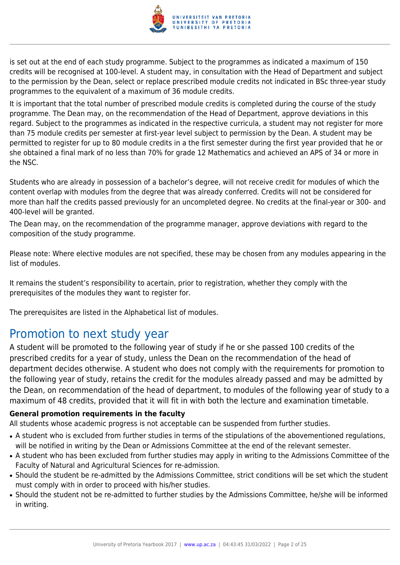

is set out at the end of each study programme. Subject to the programmes as indicated a maximum of 150 credits will be recognised at 100-level. A student may, in consultation with the Head of Department and subject to the permission by the Dean, select or replace prescribed module credits not indicated in BSc three-year study programmes to the equivalent of a maximum of 36 module credits.

It is important that the total number of prescribed module credits is completed during the course of the study programme. The Dean may, on the recommendation of the Head of Department, approve deviations in this regard. Subject to the programmes as indicated in the respective curricula, a student may not register for more than 75 module credits per semester at first-year level subject to permission by the Dean. A student may be permitted to register for up to 80 module credits in a the first semester during the first year provided that he or she obtained a final mark of no less than 70% for grade 12 Mathematics and achieved an APS of 34 or more in the NSC.

Students who are already in possession of a bachelor's degree, will not receive credit for modules of which the content overlap with modules from the degree that was already conferred. Credits will not be considered for more than half the credits passed previously for an uncompleted degree. No credits at the final-year or 300- and 400-level will be granted.

The Dean may, on the recommendation of the programme manager, approve deviations with regard to the composition of the study programme.

Please note: Where elective modules are not specified, these may be chosen from any modules appearing in the list of modules.

It remains the student's responsibility to acertain, prior to registration, whether they comply with the prerequisites of the modules they want to register for.

The prerequisites are listed in the Alphabetical list of modules.

# Promotion to next study year

A student will be promoted to the following year of study if he or she passed 100 credits of the prescribed credits for a year of study, unless the Dean on the recommendation of the head of department decides otherwise. A student who does not comply with the requirements for promotion to the following year of study, retains the credit for the modules already passed and may be admitted by the Dean, on recommendation of the head of department, to modules of the following year of study to a maximum of 48 credits, provided that it will fit in with both the lecture and examination timetable.

#### **General promotion requirements in the faculty**

All students whose academic progress is not acceptable can be suspended from further studies.

- A student who is excluded from further studies in terms of the stipulations of the abovementioned regulations, will be notified in writing by the Dean or Admissions Committee at the end of the relevant semester.
- A student who has been excluded from further studies may apply in writing to the Admissions Committee of the Faculty of Natural and Agricultural Sciences for re-admission.
- Should the student be re-admitted by the Admissions Committee, strict conditions will be set which the student must comply with in order to proceed with his/her studies.
- Should the student not be re-admitted to further studies by the Admissions Committee, he/she will be informed in writing.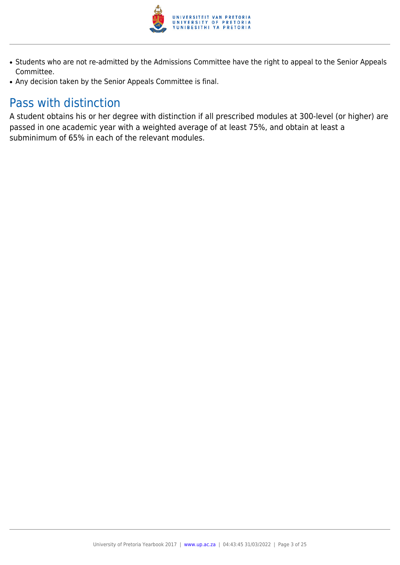

- Students who are not re-admitted by the Admissions Committee have the right to appeal to the Senior Appeals Committee.
- Any decision taken by the Senior Appeals Committee is final.

# Pass with distinction

A student obtains his or her degree with distinction if all prescribed modules at 300-level (or higher) are passed in one academic year with a weighted average of at least 75%, and obtain at least a subminimum of 65% in each of the relevant modules.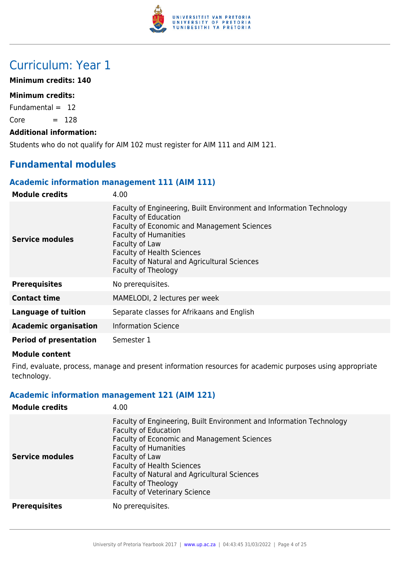

# Curriculum: Year 1

#### **Minimum credits: 140**

#### **Minimum credits:**

Fundamental  $= 12$ 

 $Core = 128$ 

#### **Additional information:**

Students who do not qualify for AIM 102 must register for AIM 111 and AIM 121.

# **Fundamental modules**

#### **Academic information management 111 (AIM 111)**

| <b>Module credits</b>         | 4.00                                                                                                                                                                                                                                                                                                                    |
|-------------------------------|-------------------------------------------------------------------------------------------------------------------------------------------------------------------------------------------------------------------------------------------------------------------------------------------------------------------------|
| Service modules               | Faculty of Engineering, Built Environment and Information Technology<br><b>Faculty of Education</b><br><b>Faculty of Economic and Management Sciences</b><br><b>Faculty of Humanities</b><br>Faculty of Law<br><b>Faculty of Health Sciences</b><br>Faculty of Natural and Agricultural Sciences<br>Faculty of Theology |
| <b>Prerequisites</b>          | No prerequisites.                                                                                                                                                                                                                                                                                                       |
| <b>Contact time</b>           | MAMELODI, 2 lectures per week                                                                                                                                                                                                                                                                                           |
| <b>Language of tuition</b>    | Separate classes for Afrikaans and English                                                                                                                                                                                                                                                                              |
| <b>Academic organisation</b>  | <b>Information Science</b>                                                                                                                                                                                                                                                                                              |
| <b>Period of presentation</b> | Semester 1                                                                                                                                                                                                                                                                                                              |

#### **Module content**

Find, evaluate, process, manage and present information resources for academic purposes using appropriate technology.

# **Academic information management 121 (AIM 121)**

| <b>Module credits</b>  | 4.00                                                                                                                                                                                                                                                                                                                                                            |
|------------------------|-----------------------------------------------------------------------------------------------------------------------------------------------------------------------------------------------------------------------------------------------------------------------------------------------------------------------------------------------------------------|
| <b>Service modules</b> | Faculty of Engineering, Built Environment and Information Technology<br><b>Faculty of Education</b><br><b>Faculty of Economic and Management Sciences</b><br><b>Faculty of Humanities</b><br>Faculty of Law<br><b>Faculty of Health Sciences</b><br>Faculty of Natural and Agricultural Sciences<br>Faculty of Theology<br><b>Faculty of Veterinary Science</b> |
| <b>Prerequisites</b>   | No prerequisites.                                                                                                                                                                                                                                                                                                                                               |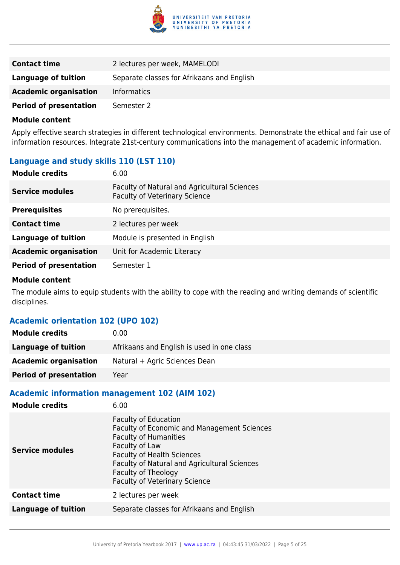

| <b>Contact time</b>           | 2 lectures per week, MAMELODI              |
|-------------------------------|--------------------------------------------|
| Language of tuition           | Separate classes for Afrikaans and English |
| <b>Academic organisation</b>  | <b>Informatics</b>                         |
| <b>Period of presentation</b> | Semester 2                                 |

Apply effective search strategies in different technological environments. Demonstrate the ethical and fair use of information resources. Integrate 21st-century communications into the management of academic information.

# **Language and study skills 110 (LST 110)**

| <b>Module credits</b>         | 6.00                                                                                 |
|-------------------------------|--------------------------------------------------------------------------------------|
| <b>Service modules</b>        | Faculty of Natural and Agricultural Sciences<br><b>Faculty of Veterinary Science</b> |
| <b>Prerequisites</b>          | No prerequisites.                                                                    |
| <b>Contact time</b>           | 2 lectures per week                                                                  |
| <b>Language of tuition</b>    | Module is presented in English                                                       |
| <b>Academic organisation</b>  | Unit for Academic Literacy                                                           |
| <b>Period of presentation</b> | Semester 1                                                                           |

#### **Module content**

The module aims to equip students with the ability to cope with the reading and writing demands of scientific disciplines.

# **Academic orientation 102 (UPO 102)**

| <b>Module credits</b>         | 0.00                                       |
|-------------------------------|--------------------------------------------|
| Language of tuition           | Afrikaans and English is used in one class |
| <b>Academic organisation</b>  | Natural + Agric Sciences Dean              |
| <b>Period of presentation</b> | Year                                       |

## **Academic information management 102 (AIM 102)**

| <b>Module credits</b>      | 6.00                                                                                                                                                                                                                                                                                    |
|----------------------------|-----------------------------------------------------------------------------------------------------------------------------------------------------------------------------------------------------------------------------------------------------------------------------------------|
| Service modules            | <b>Faculty of Education</b><br><b>Faculty of Economic and Management Sciences</b><br><b>Faculty of Humanities</b><br>Faculty of Law<br><b>Faculty of Health Sciences</b><br>Faculty of Natural and Agricultural Sciences<br>Faculty of Theology<br><b>Faculty of Veterinary Science</b> |
| <b>Contact time</b>        | 2 lectures per week                                                                                                                                                                                                                                                                     |
| <b>Language of tuition</b> | Separate classes for Afrikaans and English                                                                                                                                                                                                                                              |
|                            |                                                                                                                                                                                                                                                                                         |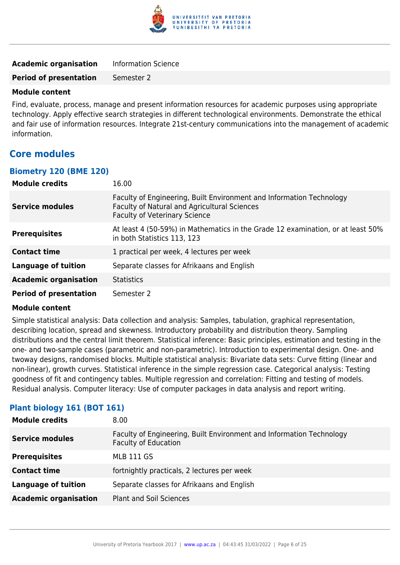

| <b>Academic organisation</b>  | <b>Information Science</b> |
|-------------------------------|----------------------------|
| <b>Period of presentation</b> | Semester 2                 |

Find, evaluate, process, manage and present information resources for academic purposes using appropriate technology. Apply effective search strategies in different technological environments. Demonstrate the ethical and fair use of information resources. Integrate 21st-century communications into the management of academic information.

# **Core modules**

#### **Biometry 120 (BME 120)**

| <b>Module credits</b>         | 16.00                                                                                                                                                        |
|-------------------------------|--------------------------------------------------------------------------------------------------------------------------------------------------------------|
| <b>Service modules</b>        | Faculty of Engineering, Built Environment and Information Technology<br>Faculty of Natural and Agricultural Sciences<br><b>Faculty of Veterinary Science</b> |
| <b>Prerequisites</b>          | At least 4 (50-59%) in Mathematics in the Grade 12 examination, or at least 50%<br>in both Statistics 113, 123                                               |
| <b>Contact time</b>           | 1 practical per week, 4 lectures per week                                                                                                                    |
| <b>Language of tuition</b>    | Separate classes for Afrikaans and English                                                                                                                   |
| <b>Academic organisation</b>  | <b>Statistics</b>                                                                                                                                            |
| <b>Period of presentation</b> | Semester 2                                                                                                                                                   |

#### **Module content**

Simple statistical analysis: Data collection and analysis: Samples, tabulation, graphical representation, describing location, spread and skewness. Introductory probability and distribution theory. Sampling distributions and the central limit theorem. Statistical inference: Basic principles, estimation and testing in the one- and two-sample cases (parametric and non-parametric). Introduction to experimental design. One- and twoway designs, randomised blocks. Multiple statistical analysis: Bivariate data sets: Curve fitting (linear and non-linear), growth curves. Statistical inference in the simple regression case. Categorical analysis: Testing goodness of fit and contingency tables. Multiple regression and correlation: Fitting and testing of models. Residual analysis. Computer literacy: Use of computer packages in data analysis and report writing.

#### **Plant biology 161 (BOT 161)**

| <b>Module credits</b>        | 8.00                                                                                                |
|------------------------------|-----------------------------------------------------------------------------------------------------|
| <b>Service modules</b>       | Faculty of Engineering, Built Environment and Information Technology<br><b>Faculty of Education</b> |
| <b>Prerequisites</b>         | <b>MLB 111 GS</b>                                                                                   |
| <b>Contact time</b>          | fortnightly practicals, 2 lectures per week                                                         |
| <b>Language of tuition</b>   | Separate classes for Afrikaans and English                                                          |
| <b>Academic organisation</b> | <b>Plant and Soil Sciences</b>                                                                      |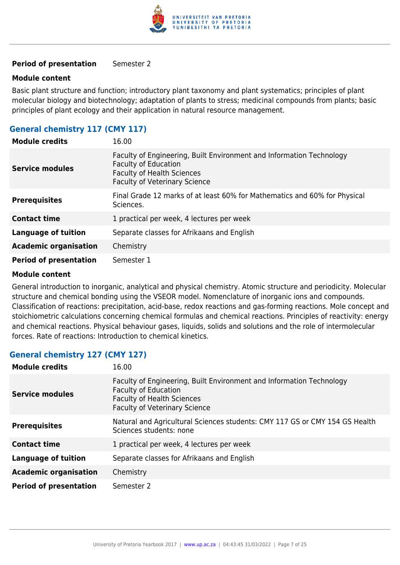

#### **Period of presentation** Semester 2

#### **Module content**

Basic plant structure and function; introductory plant taxonomy and plant systematics; principles of plant molecular biology and biotechnology; adaptation of plants to stress; medicinal compounds from plants; basic principles of plant ecology and their application in natural resource management.

# **General chemistry 117 (CMY 117)**

| <b>Module credits</b>         | 16.00                                                                                                                                                                            |
|-------------------------------|----------------------------------------------------------------------------------------------------------------------------------------------------------------------------------|
| Service modules               | Faculty of Engineering, Built Environment and Information Technology<br><b>Faculty of Education</b><br><b>Faculty of Health Sciences</b><br><b>Faculty of Veterinary Science</b> |
| <b>Prerequisites</b>          | Final Grade 12 marks of at least 60% for Mathematics and 60% for Physical<br>Sciences.                                                                                           |
| <b>Contact time</b>           | 1 practical per week, 4 lectures per week                                                                                                                                        |
| <b>Language of tuition</b>    | Separate classes for Afrikaans and English                                                                                                                                       |
| <b>Academic organisation</b>  | Chemistry                                                                                                                                                                        |
| <b>Period of presentation</b> | Semester 1                                                                                                                                                                       |

#### **Module content**

General introduction to inorganic, analytical and physical chemistry. Atomic structure and periodicity. Molecular structure and chemical bonding using the VSEOR model. Nomenclature of inorganic ions and compounds. Classification of reactions: precipitation, acid-base, redox reactions and gas-forming reactions. Mole concept and stoichiometric calculations concerning chemical formulas and chemical reactions. Principles of reactivity: energy and chemical reactions. Physical behaviour gases, liquids, solids and solutions and the role of intermolecular forces. Rate of reactions: Introduction to chemical kinetics.

#### **General chemistry 127 (CMY 127)**

| <b>Module credits</b>         | 16.00                                                                                                                                                                            |
|-------------------------------|----------------------------------------------------------------------------------------------------------------------------------------------------------------------------------|
| <b>Service modules</b>        | Faculty of Engineering, Built Environment and Information Technology<br><b>Faculty of Education</b><br><b>Faculty of Health Sciences</b><br><b>Faculty of Veterinary Science</b> |
| <b>Prerequisites</b>          | Natural and Agricultural Sciences students: CMY 117 GS or CMY 154 GS Health<br>Sciences students: none                                                                           |
| <b>Contact time</b>           | 1 practical per week, 4 lectures per week                                                                                                                                        |
| <b>Language of tuition</b>    | Separate classes for Afrikaans and English                                                                                                                                       |
| <b>Academic organisation</b>  | Chemistry                                                                                                                                                                        |
| <b>Period of presentation</b> | Semester 2                                                                                                                                                                       |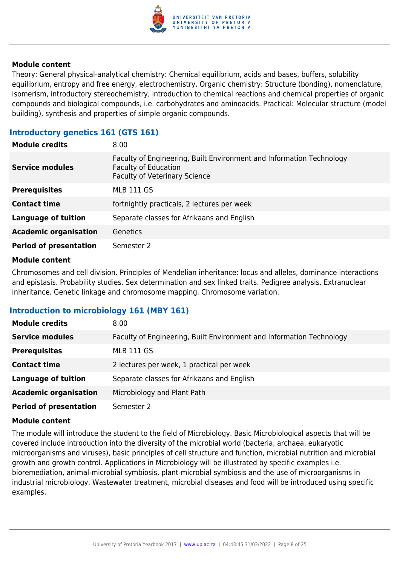

Theory: General physical-analytical chemistry: Chemical equilibrium, acids and bases, buffers, solubility equilibrium, entropy and free energy, electrochemistry. Organic chemistry: Structure (bonding), nomenclature, isomerism, introductory stereochemistry, introduction to chemical reactions and chemical properties of organic compounds and biological compounds, i.e. carbohydrates and aminoacids. Practical: Molecular structure (model building), synthesis and properties of simple organic compounds.

# **Introductory genetics 161 (GTS 161)**

| <b>Module credits</b>         | 8.00                                                                                                                                        |
|-------------------------------|---------------------------------------------------------------------------------------------------------------------------------------------|
| <b>Service modules</b>        | Faculty of Engineering, Built Environment and Information Technology<br><b>Faculty of Education</b><br><b>Faculty of Veterinary Science</b> |
| <b>Prerequisites</b>          | <b>MLB 111 GS</b>                                                                                                                           |
| <b>Contact time</b>           | fortnightly practicals, 2 lectures per week                                                                                                 |
| <b>Language of tuition</b>    | Separate classes for Afrikaans and English                                                                                                  |
| <b>Academic organisation</b>  | Genetics                                                                                                                                    |
| <b>Period of presentation</b> | Semester 2                                                                                                                                  |

#### **Module content**

Chromosomes and cell division. Principles of Mendelian inheritance: locus and alleles, dominance interactions and epistasis. Probability studies. Sex determination and sex linked traits. Pedigree analysis. Extranuclear inheritance. Genetic linkage and chromosome mapping. Chromosome variation.

#### **Introduction to microbiology 161 (MBY 161)**

| <b>Module credits</b>         | 8.00                                                                 |
|-------------------------------|----------------------------------------------------------------------|
| <b>Service modules</b>        | Faculty of Engineering, Built Environment and Information Technology |
| <b>Prerequisites</b>          | <b>MLB 111 GS</b>                                                    |
| <b>Contact time</b>           | 2 lectures per week, 1 practical per week                            |
| <b>Language of tuition</b>    | Separate classes for Afrikaans and English                           |
| <b>Academic organisation</b>  | Microbiology and Plant Path                                          |
| <b>Period of presentation</b> | Semester 2                                                           |

#### **Module content**

The module will introduce the student to the field of Microbiology. Basic Microbiological aspects that will be covered include introduction into the diversity of the microbial world (bacteria, archaea, eukaryotic microorganisms and viruses), basic principles of cell structure and function, microbial nutrition and microbial growth and growth control. Applications in Microbiology will be illustrated by specific examples i.e. bioremediation, animal-microbial symbiosis, plant-microbial symbiosis and the use of microorganisms in industrial microbiology. Wastewater treatment, microbial diseases and food will be introduced using specific examples.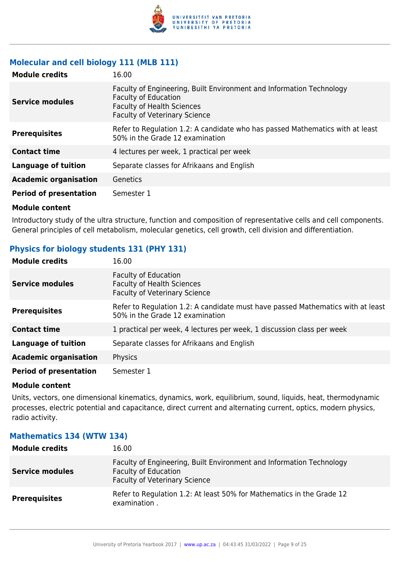

# **Molecular and cell biology 111 (MLB 111)**

| <b>Module credits</b>         | 16.00                                                                                                                                                                            |
|-------------------------------|----------------------------------------------------------------------------------------------------------------------------------------------------------------------------------|
| Service modules               | Faculty of Engineering, Built Environment and Information Technology<br><b>Faculty of Education</b><br><b>Faculty of Health Sciences</b><br><b>Faculty of Veterinary Science</b> |
| <b>Prerequisites</b>          | Refer to Regulation 1.2: A candidate who has passed Mathematics with at least<br>50% in the Grade 12 examination                                                                 |
| <b>Contact time</b>           | 4 lectures per week, 1 practical per week                                                                                                                                        |
| <b>Language of tuition</b>    | Separate classes for Afrikaans and English                                                                                                                                       |
| <b>Academic organisation</b>  | Genetics                                                                                                                                                                         |
| <b>Period of presentation</b> | Semester 1                                                                                                                                                                       |

#### **Module content**

Introductory study of the ultra structure, function and composition of representative cells and cell components. General principles of cell metabolism, molecular genetics, cell growth, cell division and differentiation.

# **Physics for biology students 131 (PHY 131)**

| <b>Module credits</b>         | 16.00                                                                                                              |
|-------------------------------|--------------------------------------------------------------------------------------------------------------------|
| <b>Service modules</b>        | <b>Faculty of Education</b><br><b>Faculty of Health Sciences</b><br><b>Faculty of Veterinary Science</b>           |
| <b>Prerequisites</b>          | Refer to Regulation 1.2: A candidate must have passed Mathematics with at least<br>50% in the Grade 12 examination |
| <b>Contact time</b>           | 1 practical per week, 4 lectures per week, 1 discussion class per week                                             |
| <b>Language of tuition</b>    | Separate classes for Afrikaans and English                                                                         |
| <b>Academic organisation</b>  | Physics                                                                                                            |
| <b>Period of presentation</b> | Semester 1                                                                                                         |

#### **Module content**

Units, vectors, one dimensional kinematics, dynamics, work, equilibrium, sound, liquids, heat, thermodynamic processes, electric potential and capacitance, direct current and alternating current, optics, modern physics, radio activity.

| <b>Module credits</b>  | 16.00                                                                                                                                       |
|------------------------|---------------------------------------------------------------------------------------------------------------------------------------------|
| <b>Service modules</b> | Faculty of Engineering, Built Environment and Information Technology<br><b>Faculty of Education</b><br><b>Faculty of Veterinary Science</b> |
| <b>Prerequisites</b>   | Refer to Regulation 1.2: At least 50% for Mathematics in the Grade 12<br>examination.                                                       |

#### **Mathematics 134 (WTW 134)**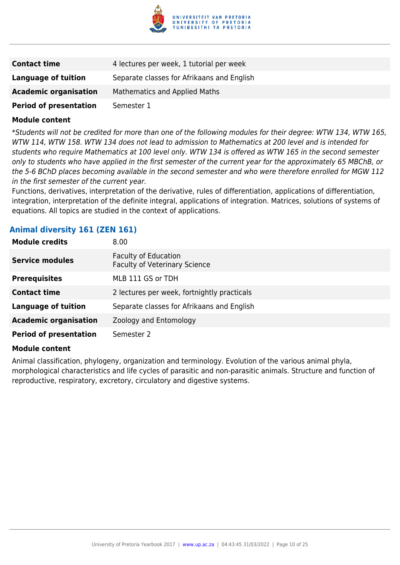

| <b>Contact time</b>           | 4 lectures per week, 1 tutorial per week   |
|-------------------------------|--------------------------------------------|
| Language of tuition           | Separate classes for Afrikaans and English |
| <b>Academic organisation</b>  | <b>Mathematics and Applied Maths</b>       |
| <b>Period of presentation</b> | Semester 1                                 |

\*Students will not be credited for more than one of the following modules for their degree: WTW 134, WTW 165, WTW 114, WTW 158. WTW 134 does not lead to admission to Mathematics at 200 level and is intended for students who require Mathematics at 100 level only. WTW 134 is offered as WTW 165 in the second semester only to students who have applied in the first semester of the current year for the approximately 65 MBChB, or the 5-6 BChD places becoming available in the second semester and who were therefore enrolled for MGW 112 in the first semester of the current year.

Functions, derivatives, interpretation of the derivative, rules of differentiation, applications of differentiation, integration, interpretation of the definite integral, applications of integration. Matrices, solutions of systems of equations. All topics are studied in the context of applications.

## **Animal diversity 161 (ZEN 161)**

| <b>Module credits</b>         | 8.00                                                         |
|-------------------------------|--------------------------------------------------------------|
| <b>Service modules</b>        | Faculty of Education<br><b>Faculty of Veterinary Science</b> |
| <b>Prerequisites</b>          | MLB 111 GS or TDH                                            |
| <b>Contact time</b>           | 2 lectures per week, fortnightly practicals                  |
| <b>Language of tuition</b>    | Separate classes for Afrikaans and English                   |
| <b>Academic organisation</b>  | Zoology and Entomology                                       |
| <b>Period of presentation</b> | Semester 2                                                   |

#### **Module content**

Animal classification, phylogeny, organization and terminology. Evolution of the various animal phyla, morphological characteristics and life cycles of parasitic and non-parasitic animals. Structure and function of reproductive, respiratory, excretory, circulatory and digestive systems.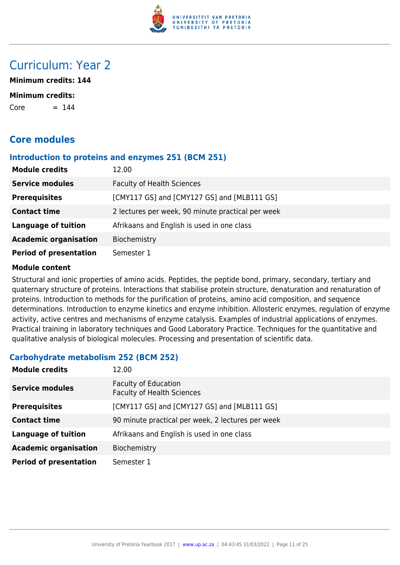

# Curriculum: Year 2

**Minimum credits: 144**

#### **Minimum credits:**

 $Core = 144$ 

# **Core modules**

#### **Introduction to proteins and enzymes 251 (BCM 251)**

| <b>Module credits</b>         | 12.00                                             |
|-------------------------------|---------------------------------------------------|
| <b>Service modules</b>        | <b>Faculty of Health Sciences</b>                 |
| <b>Prerequisites</b>          | [CMY117 GS] and [CMY127 GS] and [MLB111 GS]       |
| <b>Contact time</b>           | 2 lectures per week, 90 minute practical per week |
| <b>Language of tuition</b>    | Afrikaans and English is used in one class        |
| <b>Academic organisation</b>  | Biochemistry                                      |
| <b>Period of presentation</b> | Semester 1                                        |

#### **Module content**

Structural and ionic properties of amino acids. Peptides, the peptide bond, primary, secondary, tertiary and quaternary structure of proteins. Interactions that stabilise protein structure, denaturation and renaturation of proteins. Introduction to methods for the purification of proteins, amino acid composition, and sequence determinations. Introduction to enzyme kinetics and enzyme inhibition. Allosteric enzymes, regulation of enzyme activity, active centres and mechanisms of enzyme catalysis. Examples of industrial applications of enzymes. Practical training in laboratory techniques and Good Laboratory Practice. Techniques for the quantitative and qualitative analysis of biological molecules. Processing and presentation of scientific data.

# **Carbohydrate metabolism 252 (BCM 252)**

| <b>Module credits</b>         | 12.00                                                            |
|-------------------------------|------------------------------------------------------------------|
| <b>Service modules</b>        | <b>Faculty of Education</b><br><b>Faculty of Health Sciences</b> |
| <b>Prerequisites</b>          | [CMY117 GS] and [CMY127 GS] and [MLB111 GS]                      |
| <b>Contact time</b>           | 90 minute practical per week, 2 lectures per week                |
| <b>Language of tuition</b>    | Afrikaans and English is used in one class                       |
| <b>Academic organisation</b>  | Biochemistry                                                     |
| <b>Period of presentation</b> | Semester 1                                                       |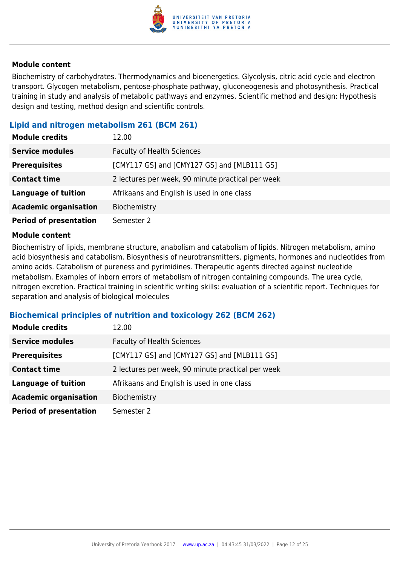

Biochemistry of carbohydrates. Thermodynamics and bioenergetics. Glycolysis, citric acid cycle and electron transport. Glycogen metabolism, pentose-phosphate pathway, gluconeogenesis and photosynthesis. Practical training in study and analysis of metabolic pathways and enzymes. Scientific method and design: Hypothesis design and testing, method design and scientific controls.

# **Lipid and nitrogen metabolism 261 (BCM 261)**

| <b>Module credits</b>         | 12.00                                             |
|-------------------------------|---------------------------------------------------|
| <b>Service modules</b>        | <b>Faculty of Health Sciences</b>                 |
| <b>Prerequisites</b>          | [CMY117 GS] and [CMY127 GS] and [MLB111 GS]       |
| <b>Contact time</b>           | 2 lectures per week, 90 minute practical per week |
| <b>Language of tuition</b>    | Afrikaans and English is used in one class        |
| <b>Academic organisation</b>  | Biochemistry                                      |
| <b>Period of presentation</b> | Semester 2                                        |

#### **Module content**

Biochemistry of lipids, membrane structure, anabolism and catabolism of lipids. Nitrogen metabolism, amino acid biosynthesis and catabolism. Biosynthesis of neurotransmitters, pigments, hormones and nucleotides from amino acids. Catabolism of pureness and pyrimidines. Therapeutic agents directed against nucleotide metabolism. Examples of inborn errors of metabolism of nitrogen containing compounds. The urea cycle, nitrogen excretion. Practical training in scientific writing skills: evaluation of a scientific report. Techniques for separation and analysis of biological molecules

#### **Biochemical principles of nutrition and toxicology 262 (BCM 262)**

| <b>Module credits</b>         | 12.00                                             |
|-------------------------------|---------------------------------------------------|
| <b>Service modules</b>        | <b>Faculty of Health Sciences</b>                 |
| <b>Prerequisites</b>          | [CMY117 GS] and [CMY127 GS] and [MLB111 GS]       |
| <b>Contact time</b>           | 2 lectures per week, 90 minute practical per week |
| <b>Language of tuition</b>    | Afrikaans and English is used in one class        |
| <b>Academic organisation</b>  | Biochemistry                                      |
| <b>Period of presentation</b> | Semester 2                                        |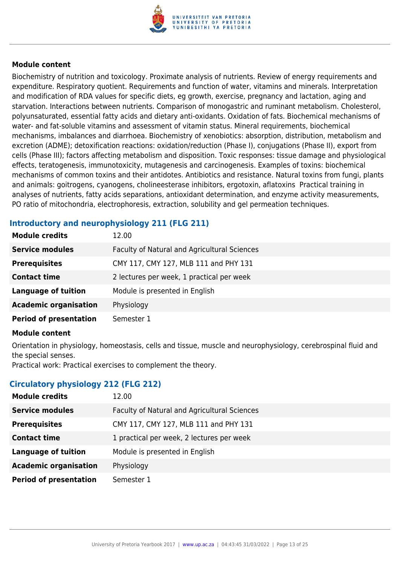

Biochemistry of nutrition and toxicology. Proximate analysis of nutrients. Review of energy requirements and expenditure. Respiratory quotient. Requirements and function of water, vitamins and minerals. Interpretation and modification of RDA values for specific diets, eg growth, exercise, pregnancy and lactation, aging and starvation. Interactions between nutrients. Comparison of monogastric and ruminant metabolism. Cholesterol, polyunsaturated, essential fatty acids and dietary anti-oxidants. Oxidation of fats. Biochemical mechanisms of water- and fat-soluble vitamins and assessment of vitamin status. Mineral requirements, biochemical mechanisms, imbalances and diarrhoea. Biochemistry of xenobiotics: absorption, distribution, metabolism and excretion (ADME); detoxification reactions: oxidation/reduction (Phase I), conjugations (Phase II), export from cells (Phase III); factors affecting metabolism and disposition. Toxic responses: tissue damage and physiological effects, teratogenesis, immunotoxicity, mutagenesis and carcinogenesis. Examples of toxins: biochemical mechanisms of common toxins and their antidotes. Antibiotics and resistance. Natural toxins from fungi, plants and animals: goitrogens, cyanogens, cholineesterase inhibitors, ergotoxin, aflatoxins Practical training in analyses of nutrients, fatty acids separations, antioxidant determination, and enzyme activity measurements, PO ratio of mitochondria, electrophoresis, extraction, solubility and gel permeation techniques.

# **Introductory and neurophysiology 211 (FLG 211)**

| <b>Module credits</b>         | 12.00                                        |
|-------------------------------|----------------------------------------------|
| <b>Service modules</b>        | Faculty of Natural and Agricultural Sciences |
| <b>Prerequisites</b>          | CMY 117, CMY 127, MLB 111 and PHY 131        |
| <b>Contact time</b>           | 2 lectures per week, 1 practical per week    |
| <b>Language of tuition</b>    | Module is presented in English               |
| <b>Academic organisation</b>  | Physiology                                   |
| <b>Period of presentation</b> | Semester 1                                   |

#### **Module content**

Orientation in physiology, homeostasis, cells and tissue, muscle and neurophysiology, cerebrospinal fluid and the special senses.

Practical work: Practical exercises to complement the theory.

#### **Circulatory physiology 212 (FLG 212)**

| 12.00                                        |
|----------------------------------------------|
| Faculty of Natural and Agricultural Sciences |
| CMY 117, CMY 127, MLB 111 and PHY 131        |
| 1 practical per week, 2 lectures per week    |
| Module is presented in English               |
| Physiology                                   |
| Semester 1                                   |
|                                              |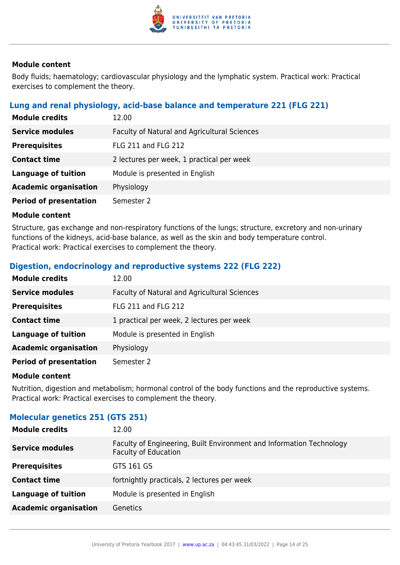

Body fluids; haematology; cardiovascular physiology and the lymphatic system. Practical work: Practical exercises to complement the theory.

## **Lung and renal physiology, acid-base balance and temperature 221 (FLG 221)**

| <b>Module credits</b>         | 12.00                                        |
|-------------------------------|----------------------------------------------|
| <b>Service modules</b>        | Faculty of Natural and Agricultural Sciences |
| <b>Prerequisites</b>          | <b>FLG 211 and FLG 212</b>                   |
| <b>Contact time</b>           | 2 lectures per week, 1 practical per week    |
| <b>Language of tuition</b>    | Module is presented in English               |
| <b>Academic organisation</b>  | Physiology                                   |
| <b>Period of presentation</b> | Semester 2                                   |

#### **Module content**

Structure, gas exchange and non-respiratory functions of the lungs; structure, excretory and non-urinary functions of the kidneys, acid-base balance, as well as the skin and body temperature control. Practical work: Practical exercises to complement the theory.

## **Digestion, endocrinology and reproductive systems 222 (FLG 222)**

| <b>Module credits</b>         | 12.00                                        |
|-------------------------------|----------------------------------------------|
| <b>Service modules</b>        | Faculty of Natural and Agricultural Sciences |
| <b>Prerequisites</b>          | <b>FLG 211 and FLG 212</b>                   |
| <b>Contact time</b>           | 1 practical per week, 2 lectures per week    |
| <b>Language of tuition</b>    | Module is presented in English               |
| <b>Academic organisation</b>  | Physiology                                   |
| <b>Period of presentation</b> | Semester 2                                   |

#### **Module content**

Nutrition, digestion and metabolism; hormonal control of the body functions and the reproductive systems. Practical work: Practical exercises to complement the theory.

# **Molecular genetics 251 (GTS 251)**

| <b>Module credits</b>        | 12.00                                                                                               |
|------------------------------|-----------------------------------------------------------------------------------------------------|
| <b>Service modules</b>       | Faculty of Engineering, Built Environment and Information Technology<br><b>Faculty of Education</b> |
| <b>Prerequisites</b>         | GTS 161 GS                                                                                          |
| <b>Contact time</b>          | fortnightly practicals, 2 lectures per week                                                         |
| <b>Language of tuition</b>   | Module is presented in English                                                                      |
| <b>Academic organisation</b> | Genetics                                                                                            |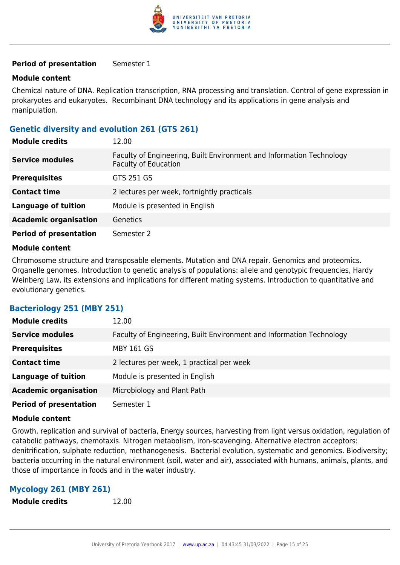

#### **Period of presentation** Semester 1

#### **Module content**

Chemical nature of DNA. Replication transcription, RNA processing and translation. Control of gene expression in prokaryotes and eukaryotes. Recombinant DNA technology and its applications in gene analysis and manipulation.

## **Genetic diversity and evolution 261 (GTS 261)**

| <b>Module credits</b>         | 12.00                                                                                               |
|-------------------------------|-----------------------------------------------------------------------------------------------------|
| <b>Service modules</b>        | Faculty of Engineering, Built Environment and Information Technology<br><b>Faculty of Education</b> |
| <b>Prerequisites</b>          | GTS 251 GS                                                                                          |
| <b>Contact time</b>           | 2 lectures per week, fortnightly practicals                                                         |
| <b>Language of tuition</b>    | Module is presented in English                                                                      |
| <b>Academic organisation</b>  | <b>Genetics</b>                                                                                     |
| <b>Period of presentation</b> | Semester 2                                                                                          |

#### **Module content**

Chromosome structure and transposable elements. Mutation and DNA repair. Genomics and proteomics. Organelle genomes. Introduction to genetic analysis of populations: allele and genotypic frequencies, Hardy Weinberg Law, its extensions and implications for different mating systems. Introduction to quantitative and evolutionary genetics.

#### **Bacteriology 251 (MBY 251)**

| <b>Module credits</b>         | 12.00                                                                |
|-------------------------------|----------------------------------------------------------------------|
| <b>Service modules</b>        | Faculty of Engineering, Built Environment and Information Technology |
| <b>Prerequisites</b>          | <b>MBY 161 GS</b>                                                    |
| <b>Contact time</b>           | 2 lectures per week, 1 practical per week                            |
| <b>Language of tuition</b>    | Module is presented in English                                       |
| <b>Academic organisation</b>  | Microbiology and Plant Path                                          |
| <b>Period of presentation</b> | Semester 1                                                           |

#### **Module content**

Growth, replication and survival of bacteria, Energy sources, harvesting from light versus oxidation, regulation of catabolic pathways, chemotaxis. Nitrogen metabolism, iron-scavenging. Alternative electron acceptors: denitrification, sulphate reduction, methanogenesis. Bacterial evolution, systematic and genomics. Biodiversity; bacteria occurring in the natural environment (soil, water and air), associated with humans, animals, plants, and those of importance in foods and in the water industry.

#### **Mycology 261 (MBY 261)**

**Module credits** 12.00

University of Pretoria Yearbook 2017 | [www.up.ac.za](https://www.up.ac.za/yearbooks/home) | 04:43:45 31/03/2022 | Page 15 of 25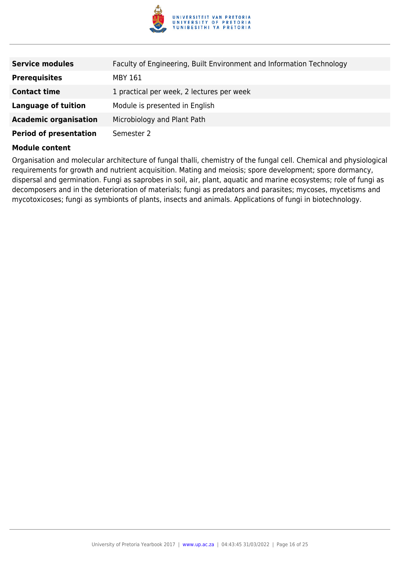

| <b>Service modules</b>        | Faculty of Engineering, Built Environment and Information Technology |
|-------------------------------|----------------------------------------------------------------------|
| <b>Prerequisites</b>          | MBY 161                                                              |
| <b>Contact time</b>           | 1 practical per week, 2 lectures per week                            |
| <b>Language of tuition</b>    | Module is presented in English                                       |
| <b>Academic organisation</b>  | Microbiology and Plant Path                                          |
| <b>Period of presentation</b> | Semester 2                                                           |

Organisation and molecular architecture of fungal thalli, chemistry of the fungal cell. Chemical and physiological requirements for growth and nutrient acquisition. Mating and meiosis; spore development; spore dormancy, dispersal and germination. Fungi as saprobes in soil, air, plant, aquatic and marine ecosystems; role of fungi as decomposers and in the deterioration of materials; fungi as predators and parasites; mycoses, mycetisms and mycotoxicoses; fungi as symbionts of plants, insects and animals. Applications of fungi in biotechnology.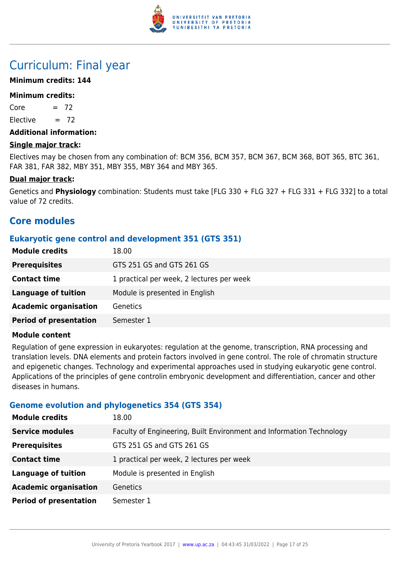

# Curriculum: Final year

## **Minimum credits: 144**

#### **Minimum credits:**

 $Core = 72$ 

Elective  $= 72$ 

#### **Additional information:**

#### **Single major track:**

Electives may be chosen from any combination of: BCM 356, BCM 357, BCM 367, BCM 368, BOT 365, BTC 361, FAR 381, FAR 382, MBY 351, MBY 355, MBY 364 and MBY 365.

#### **Dual major track:**

Genetics and **Physiology** combination: Students must take [FLG 330 + FLG 327 + FLG 331 + FLG 332] to a total value of 72 credits.

# **Core modules**

## **Eukaryotic gene control and development 351 (GTS 351)**

| <b>Module credits</b>         | 18.00                                     |
|-------------------------------|-------------------------------------------|
| <b>Prerequisites</b>          | GTS 251 GS and GTS 261 GS                 |
| <b>Contact time</b>           | 1 practical per week, 2 lectures per week |
| <b>Language of tuition</b>    | Module is presented in English            |
| <b>Academic organisation</b>  | <b>Genetics</b>                           |
| <b>Period of presentation</b> | Semester 1                                |

#### **Module content**

Regulation of gene expression in eukaryotes: regulation at the genome, transcription, RNA processing and translation levels. DNA elements and protein factors involved in gene control. The role of chromatin structure and epigenetic changes. Technology and experimental approaches used in studying eukaryotic gene control. Applications of the principles of gene controlin embryonic development and differentiation, cancer and other diseases in humans.

#### **Genome evolution and phylogenetics 354 (GTS 354)**

| <b>Module credits</b>         | 18.00                                                                |
|-------------------------------|----------------------------------------------------------------------|
| <b>Service modules</b>        | Faculty of Engineering, Built Environment and Information Technology |
| <b>Prerequisites</b>          | GTS 251 GS and GTS 261 GS                                            |
| <b>Contact time</b>           | 1 practical per week, 2 lectures per week                            |
| <b>Language of tuition</b>    | Module is presented in English                                       |
| <b>Academic organisation</b>  | Genetics                                                             |
| <b>Period of presentation</b> | Semester 1                                                           |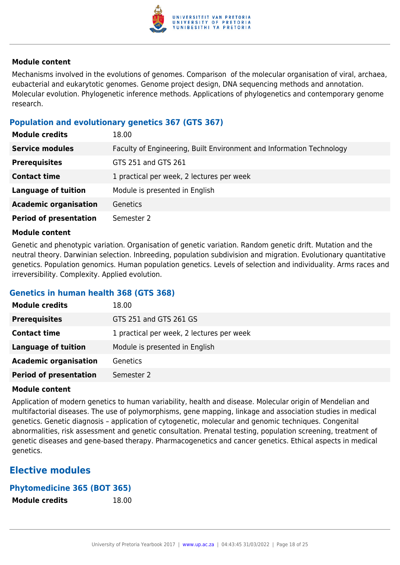

Mechanisms involved in the evolutions of genomes. Comparison of the molecular organisation of viral, archaea, eubacterial and eukarytotic genomes. Genome project design, DNA sequencing methods and annotation. Molecular evolution. Phylogenetic inference methods. Applications of phylogenetics and contemporary genome research.

#### **Population and evolutionary genetics 367 (GTS 367)**

| <b>Module credits</b>         | 18.00                                                                |
|-------------------------------|----------------------------------------------------------------------|
| <b>Service modules</b>        | Faculty of Engineering, Built Environment and Information Technology |
| <b>Prerequisites</b>          | GTS 251 and GTS 261                                                  |
| <b>Contact time</b>           | 1 practical per week, 2 lectures per week                            |
| <b>Language of tuition</b>    | Module is presented in English                                       |
| <b>Academic organisation</b>  | Genetics                                                             |
| <b>Period of presentation</b> | Semester 2                                                           |

#### **Module content**

Genetic and phenotypic variation. Organisation of genetic variation. Random genetic drift. Mutation and the neutral theory. Darwinian selection. Inbreeding, population subdivision and migration. Evolutionary quantitative genetics. Population genomics. Human population genetics. Levels of selection and individuality. Arms races and irreversibility. Complexity. Applied evolution.

# **Genetics in human health 368 (GTS 368)**

| <b>Module credits</b>         | 18.00                                     |
|-------------------------------|-------------------------------------------|
| <b>Prerequisites</b>          | GTS 251 and GTS 261 GS                    |
| <b>Contact time</b>           | 1 practical per week, 2 lectures per week |
| Language of tuition           | Module is presented in English            |
| <b>Academic organisation</b>  | <b>Genetics</b>                           |
| <b>Period of presentation</b> | Semester 2                                |

#### **Module content**

Application of modern genetics to human variability, health and disease. Molecular origin of Mendelian and multifactorial diseases. The use of polymorphisms, gene mapping, linkage and association studies in medical genetics. Genetic diagnosis – application of cytogenetic, molecular and genomic techniques. Congenital abnormalities, risk assessment and genetic consultation. Prenatal testing, population screening, treatment of genetic diseases and gene-based therapy. Pharmacogenetics and cancer genetics. Ethical aspects in medical genetics.

# **Elective modules**

#### **Phytomedicine 365 (BOT 365)**

**Module credits** 18.00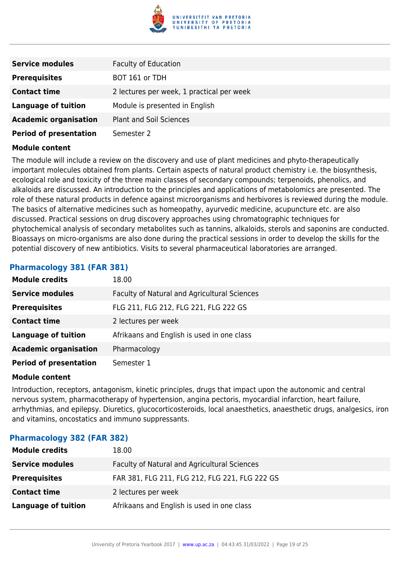

| <b>Service modules</b>        | <b>Faculty of Education</b>               |
|-------------------------------|-------------------------------------------|
| <b>Prerequisites</b>          | BOT 161 or TDH                            |
| <b>Contact time</b>           | 2 lectures per week, 1 practical per week |
| Language of tuition           | Module is presented in English            |
| <b>Academic organisation</b>  | <b>Plant and Soil Sciences</b>            |
| <b>Period of presentation</b> | Semester 2                                |

The module will include a review on the discovery and use of plant medicines and phyto-therapeutically important molecules obtained from plants. Certain aspects of natural product chemistry i.e. the biosynthesis, ecological role and toxicity of the three main classes of secondary compounds; terpenoids, phenolics, and alkaloids are discussed. An introduction to the principles and applications of metabolomics are presented. The role of these natural products in defence against microorganisms and herbivores is reviewed during the module. The basics of alternative medicines such as homeopathy, ayurvedic medicine, acupuncture etc. are also discussed. Practical sessions on drug discovery approaches using chromatographic techniques for phytochemical analysis of secondary metabolites such as tannins, alkaloids, sterols and saponins are conducted. Bioassays on micro-organisms are also done during the practical sessions in order to develop the skills for the potential discovery of new antibiotics. Visits to several pharmaceutical laboratories are arranged.

#### **Pharmacology 381 (FAR 381)**

| <b>Module credits</b>         | 18.00                                        |
|-------------------------------|----------------------------------------------|
| <b>Service modules</b>        | Faculty of Natural and Agricultural Sciences |
| <b>Prerequisites</b>          | FLG 211, FLG 212, FLG 221, FLG 222 GS        |
| <b>Contact time</b>           | 2 lectures per week                          |
| <b>Language of tuition</b>    | Afrikaans and English is used in one class   |
| <b>Academic organisation</b>  | Pharmacology                                 |
| <b>Period of presentation</b> | Semester 1                                   |

#### **Module content**

Introduction, receptors, antagonism, kinetic principles, drugs that impact upon the autonomic and central nervous system, pharmacotherapy of hypertension, angina pectoris, myocardial infarction, heart failure, arrhythmias, and epilepsy. Diuretics, glucocorticosteroids, local anaesthetics, anaesthetic drugs, analgesics, iron and vitamins, oncostatics and immuno suppressants.

#### **Pharmacology 382 (FAR 382)**

| <b>Module credits</b>      | 18.00                                          |
|----------------------------|------------------------------------------------|
| <b>Service modules</b>     | Faculty of Natural and Agricultural Sciences   |
| <b>Prerequisites</b>       | FAR 381, FLG 211, FLG 212, FLG 221, FLG 222 GS |
| <b>Contact time</b>        | 2 lectures per week                            |
| <b>Language of tuition</b> | Afrikaans and English is used in one class     |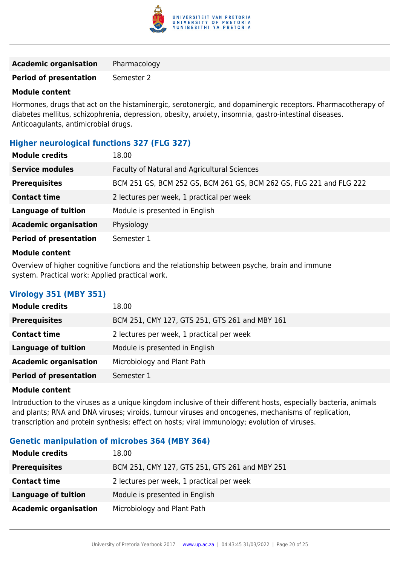

| <b>Academic organisation</b> | Pharmacology |
|------------------------------|--------------|
|------------------------------|--------------|

**Period of presentation** Semester 2

#### **Module content**

Hormones, drugs that act on the histaminergic, serotonergic, and dopaminergic receptors. Pharmacotherapy of diabetes mellitus, schizophrenia, depression, obesity, anxiety, insomnia, gastro-intestinal diseases. Anticoagulants, antimicrobial drugs.

# **Higher neurological functions 327 (FLG 327)**

| <b>Module credits</b>         | 18.00                                                               |
|-------------------------------|---------------------------------------------------------------------|
| <b>Service modules</b>        | Faculty of Natural and Agricultural Sciences                        |
| <b>Prerequisites</b>          | BCM 251 GS, BCM 252 GS, BCM 261 GS, BCM 262 GS, FLG 221 and FLG 222 |
| <b>Contact time</b>           | 2 lectures per week, 1 practical per week                           |
| <b>Language of tuition</b>    | Module is presented in English                                      |
| <b>Academic organisation</b>  | Physiology                                                          |
| <b>Period of presentation</b> | Semester 1                                                          |
|                               |                                                                     |

#### **Module content**

Overview of higher cognitive functions and the relationship between psyche, brain and immune system. Practical work: Applied practical work.

# **Virology 351 (MBY 351)**

| <b>Module credits</b>         | 18.00                                          |
|-------------------------------|------------------------------------------------|
| <b>Prerequisites</b>          | BCM 251, CMY 127, GTS 251, GTS 261 and MBY 161 |
| <b>Contact time</b>           | 2 lectures per week, 1 practical per week      |
| <b>Language of tuition</b>    | Module is presented in English                 |
| <b>Academic organisation</b>  | Microbiology and Plant Path                    |
| <b>Period of presentation</b> | Semester 1                                     |

#### **Module content**

Introduction to the viruses as a unique kingdom inclusive of their different hosts, especially bacteria, animals and plants; RNA and DNA viruses; viroids, tumour viruses and oncogenes, mechanisms of replication, transcription and protein synthesis; effect on hosts; viral immunology; evolution of viruses.

#### **Genetic manipulation of microbes 364 (MBY 364)**

| <b>Module credits</b>        | 18.00                                          |
|------------------------------|------------------------------------------------|
| <b>Prerequisites</b>         | BCM 251, CMY 127, GTS 251, GTS 261 and MBY 251 |
| <b>Contact time</b>          | 2 lectures per week, 1 practical per week      |
| <b>Language of tuition</b>   | Module is presented in English                 |
| <b>Academic organisation</b> | Microbiology and Plant Path                    |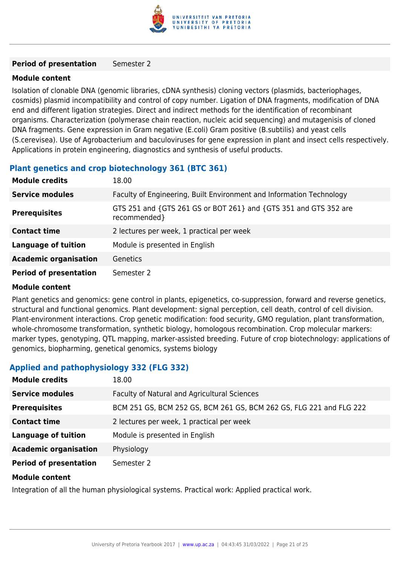

#### **Period of presentation** Semester 2

#### **Module content**

Isolation of clonable DNA (genomic libraries, cDNA synthesis) cloning vectors (plasmids, bacteriophages, cosmids) plasmid incompatibility and control of copy number. Ligation of DNA fragments, modification of DNA end and different ligation strategies. Direct and indirect methods for the identification of recombinant organisms. Characterization (polymerase chain reaction, nucleic acid sequencing) and mutagenisis of cloned DNA fragments. Gene expression in Gram negative (E.coli) Gram positive (B.subtilis) and yeast cells (S.cerevisea). Use of Agrobacterium and baculoviruses for gene expression in plant and insect cells respectively. Applications in protein engineering, diagnostics and synthesis of useful products.

#### **Plant genetics and crop biotechnology 361 (BTC 361)**

| <b>Module credits</b>         | 18.00                                                                            |
|-------------------------------|----------------------------------------------------------------------------------|
| <b>Service modules</b>        | Faculty of Engineering, Built Environment and Information Technology             |
| <b>Prerequisites</b>          | GTS 251 and {GTS 261 GS or BOT 261} and {GTS 351 and GTS 352 are<br>recommended} |
| <b>Contact time</b>           | 2 lectures per week, 1 practical per week                                        |
| <b>Language of tuition</b>    | Module is presented in English                                                   |
| <b>Academic organisation</b>  | <b>Genetics</b>                                                                  |
| <b>Period of presentation</b> | Semester 2                                                                       |

#### **Module content**

Plant genetics and genomics: gene control in plants, epigenetics, co-suppression, forward and reverse genetics, structural and functional genomics. Plant development: signal perception, cell death, control of cell division. Plant-environment interactions. Crop genetic modification: food security, GMO regulation, plant transformation, whole-chromosome transformation, synthetic biology, homologous recombination. Crop molecular markers: marker types, genotyping, QTL mapping, marker-assisted breeding. Future of crop biotechnology: applications of genomics, biopharming, genetical genomics, systems biology

# **Applied and pathophysiology 332 (FLG 332)**

| <b>Module credits</b>         | 18.00                                                               |
|-------------------------------|---------------------------------------------------------------------|
| <b>Service modules</b>        | Faculty of Natural and Agricultural Sciences                        |
| <b>Prerequisites</b>          | BCM 251 GS, BCM 252 GS, BCM 261 GS, BCM 262 GS, FLG 221 and FLG 222 |
| <b>Contact time</b>           | 2 lectures per week, 1 practical per week                           |
| <b>Language of tuition</b>    | Module is presented in English                                      |
| <b>Academic organisation</b>  | Physiology                                                          |
| <b>Period of presentation</b> | Semester 2                                                          |
| <b>Module content</b>         |                                                                     |

Integration of all the human physiological systems. Practical work: Applied practical work.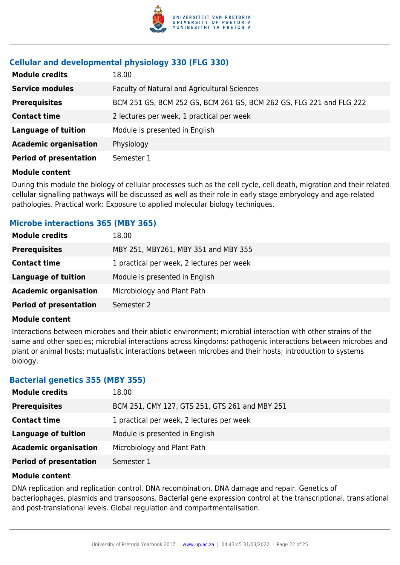

# **Cellular and developmental physiology 330 (FLG 330)**

| <b>Module credits</b>         | 18.00                                                               |
|-------------------------------|---------------------------------------------------------------------|
| <b>Service modules</b>        | Faculty of Natural and Agricultural Sciences                        |
| <b>Prerequisites</b>          | BCM 251 GS, BCM 252 GS, BCM 261 GS, BCM 262 GS, FLG 221 and FLG 222 |
| <b>Contact time</b>           | 2 lectures per week, 1 practical per week                           |
| <b>Language of tuition</b>    | Module is presented in English                                      |
| <b>Academic organisation</b>  | Physiology                                                          |
| <b>Period of presentation</b> | Semester 1                                                          |

#### **Module content**

During this module the biology of cellular processes such as the cell cycle, cell death, migration and their related cellular signalling pathways will be discussed as well as their role in early stage embryology and age-related pathologies. Practical work: Exposure to applied molecular biology techniques.

## **Microbe interactions 365 (MBY 365)**

| <b>Module credits</b>         | 18.00                                     |
|-------------------------------|-------------------------------------------|
| <b>Prerequisites</b>          | MBY 251, MBY261, MBY 351 and MBY 355      |
| <b>Contact time</b>           | 1 practical per week, 2 lectures per week |
| <b>Language of tuition</b>    | Module is presented in English            |
| <b>Academic organisation</b>  | Microbiology and Plant Path               |
| <b>Period of presentation</b> | Semester 2                                |

#### **Module content**

Interactions between microbes and their abiotic environment; microbial interaction with other strains of the same and other species; microbial interactions across kingdoms; pathogenic interactions between microbes and plant or animal hosts; mutualistic interactions between microbes and their hosts; introduction to systems biology.

#### **Bacterial genetics 355 (MBY 355)**

| <b>Module credits</b>         | 18.00                                          |
|-------------------------------|------------------------------------------------|
| <b>Prerequisites</b>          | BCM 251, CMY 127, GTS 251, GTS 261 and MBY 251 |
| <b>Contact time</b>           | 1 practical per week, 2 lectures per week      |
| Language of tuition           | Module is presented in English                 |
| <b>Academic organisation</b>  | Microbiology and Plant Path                    |
| <b>Period of presentation</b> | Semester 1                                     |

#### **Module content**

DNA replication and replication control. DNA recombination. DNA damage and repair. Genetics of bacteriophages, plasmids and transposons. Bacterial gene expression control at the transcriptional, translational and post-translational levels. Global regulation and compartmentalisation.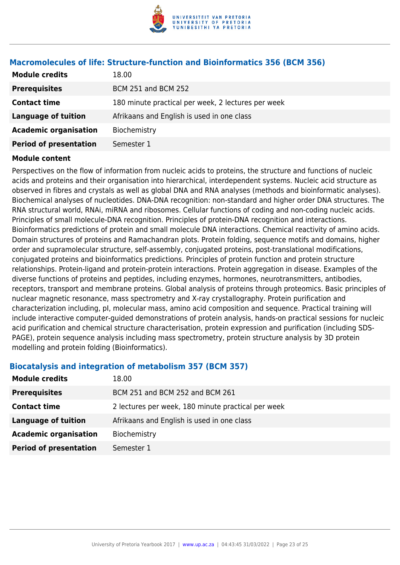

| <b>Module credits</b>         | 18.00                                              |
|-------------------------------|----------------------------------------------------|
| <b>Prerequisites</b>          | <b>BCM 251 and BCM 252</b>                         |
| <b>Contact time</b>           | 180 minute practical per week, 2 lectures per week |
| <b>Language of tuition</b>    | Afrikaans and English is used in one class         |
| <b>Academic organisation</b>  | Biochemistry                                       |
| <b>Period of presentation</b> | Semester 1                                         |

#### **Macromolecules of life: Structure-function and Bioinformatics 356 (BCM 356)**

#### **Module content**

Perspectives on the flow of information from nucleic acids to proteins, the structure and functions of nucleic acids and proteins and their organisation into hierarchical, interdependent systems. Nucleic acid structure as observed in fibres and crystals as well as global DNA and RNA analyses (methods and bioinformatic analyses). Biochemical analyses of nucleotides. DNA-DNA recognition: non-standard and higher order DNA structures. The RNA structural world, RNAi, miRNA and ribosomes. Cellular functions of coding and non-coding nucleic acids. Principles of small molecule-DNA recognition. Principles of protein-DNA recognition and interactions. Bioinformatics predictions of protein and small molecule DNA interactions. Chemical reactivity of amino acids. Domain structures of proteins and Ramachandran plots. Protein folding, sequence motifs and domains, higher order and supramolecular structure, self-assembly, conjugated proteins, post-translational modifications, conjugated proteins and bioinformatics predictions. Principles of protein function and protein structure relationships. Protein-ligand and protein-protein interactions. Protein aggregation in disease. Examples of the diverse functions of proteins and peptides, including enzymes, hormones, neurotransmitters, antibodies, receptors, transport and membrane proteins. Global analysis of proteins through proteomics. Basic principles of nuclear magnetic resonance, mass spectrometry and X-ray crystallography. Protein purification and characterization including, pI, molecular mass, amino acid composition and sequence. Practical training will include interactive computer-guided demonstrations of protein analysis, hands-on practical sessions for nucleic acid purification and chemical structure characterisation, protein expression and purification (including SDS-PAGE), protein sequence analysis including mass spectrometry, protein structure analysis by 3D protein modelling and protein folding (Bioinformatics).

#### **Biocatalysis and integration of metabolism 357 (BCM 357)**

| <b>Module credits</b>         | 18.00                                              |
|-------------------------------|----------------------------------------------------|
| <b>Prerequisites</b>          | BCM 251 and BCM 252 and BCM 261                    |
| <b>Contact time</b>           | 2 lectures per week, 180 minute practical per week |
| Language of tuition           | Afrikaans and English is used in one class         |
| <b>Academic organisation</b>  | Biochemistry                                       |
| <b>Period of presentation</b> | Semester 1                                         |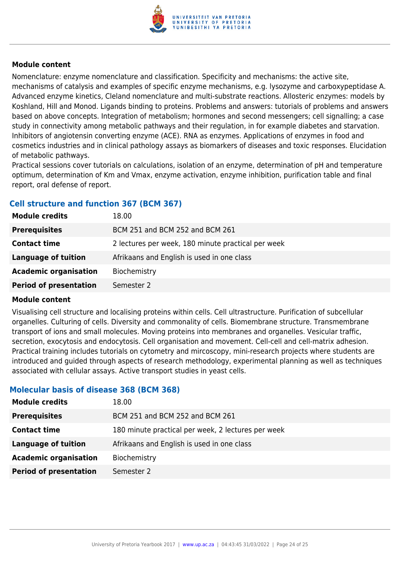

Nomenclature: enzyme nomenclature and classification. Specificity and mechanisms: the active site, mechanisms of catalysis and examples of specific enzyme mechanisms, e.g. lysozyme and carboxypeptidase A. Advanced enzyme kinetics, Cleland nomenclature and multi-substrate reactions. Allosteric enzymes: models by Koshland, Hill and Monod. Ligands binding to proteins. Problems and answers: tutorials of problems and answers based on above concepts. Integration of metabolism; hormones and second messengers; cell signalling; a case study in connectivity among metabolic pathways and their regulation, in for example diabetes and starvation. Inhibitors of angiotensin converting enzyme (ACE). RNA as enzymes. Applications of enzymes in food and cosmetics industries and in clinical pathology assays as biomarkers of diseases and toxic responses. Elucidation of metabolic pathways.

Practical sessions cover tutorials on calculations, isolation of an enzyme, determination of pH and temperature optimum, determination of Km and Vmax, enzyme activation, enzyme inhibition, purification table and final report, oral defense of report.

# **Cell structure and function 367 (BCM 367)**

| <b>Module credits</b>         | 18.00                                              |
|-------------------------------|----------------------------------------------------|
| <b>Prerequisites</b>          | BCM 251 and BCM 252 and BCM 261                    |
| <b>Contact time</b>           | 2 lectures per week, 180 minute practical per week |
| Language of tuition           | Afrikaans and English is used in one class         |
| <b>Academic organisation</b>  | Biochemistry                                       |
| <b>Period of presentation</b> | Semester 2                                         |

#### **Module content**

Visualising cell structure and localising proteins within cells. Cell ultrastructure. Purification of subcellular organelles. Culturing of cells. Diversity and commonality of cells. Biomembrane structure. Transmembrane transport of ions and small molecules. Moving proteins into membranes and organelles. Vesicular traffic, secretion, exocytosis and endocytosis. Cell organisation and movement. Cell-cell and cell-matrix adhesion. Practical training includes tutorials on cytometry and mircoscopy, mini-research projects where students are introduced and guided through aspects of research methodology, experimental planning as well as techniques associated with cellular assays. Active transport studies in yeast cells.

# **Molecular basis of disease 368 (BCM 368)**

| 18.00                                              |
|----------------------------------------------------|
| BCM 251 and BCM 252 and BCM 261                    |
| 180 minute practical per week, 2 lectures per week |
| Afrikaans and English is used in one class         |
| Biochemistry                                       |
| Semester 2                                         |
|                                                    |